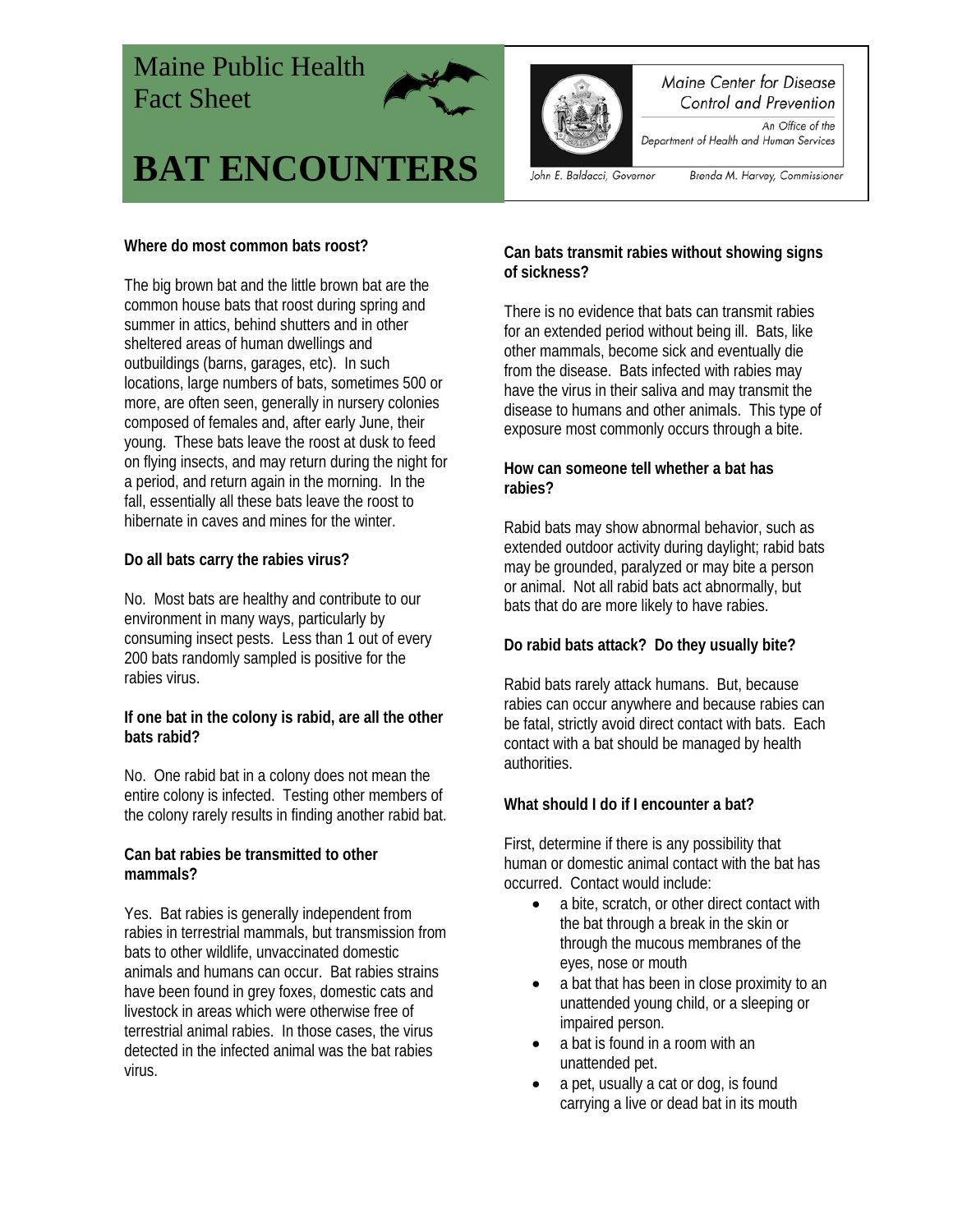# Maine Public Health Fact Sheet



# **BAT ENCOUNTERS**



#### Maine Center for Disease Control and Prevention

An Office of the Department of Health and Human Services

John E. Baldacci, Governor

Brenda M. Harvey, Commissioner

#### **Where do most common bats roost?**

The big brown bat and the little brown bat are the common house bats that roost during spring and summer in attics, behind shutters and in other sheltered areas of human dwellings and outbuildings (barns, garages, etc). In such locations, large numbers of bats, sometimes 500 or more, are often seen, generally in nursery colonies composed of females and, after early June, their young. These bats leave the roost at dusk to feed on flying insects, and may return during the night for a period, and return again in the morning. In the fall, essentially all these bats leave the roost to hibernate in caves and mines for the winter.

## **Do all bats carry the rabies virus?**

No. Most bats are healthy and contribute to our environment in many ways, particularly by consuming insect pests. Less than 1 out of every 200 bats randomly sampled is positive for the rabies virus.

#### **If one bat in the colony is rabid, are all the other bats rabid?**

No. One rabid bat in a colony does not mean the entire colony is infected. Testing other members of the colony rarely results in finding another rabid bat.

#### **Can bat rabies be transmitted to other mammals?**

Yes. Bat rabies is generally independent from rabies in terrestrial mammals, but transmission from bats to other wildlife, unvaccinated domestic animals and humans can occur. Bat rabies strains have been found in grey foxes, domestic cats and livestock in areas which were otherwise free of terrestrial animal rabies. In those cases, the virus detected in the infected animal was the bat rabies virus.

#### **Can bats transmit rabies without showing signs of sickness?**

There is no evidence that bats can transmit rabies for an extended period without being ill. Bats, like other mammals, become sick and eventually die from the disease. Bats infected with rabies may have the virus in their saliva and may transmit the disease to humans and other animals. This type of exposure most commonly occurs through a bite.

#### **How can someone tell whether a bat has rabies?**

Rabid bats may show abnormal behavior, such as extended outdoor activity during daylight; rabid bats may be grounded, paralyzed or may bite a person or animal. Not all rabid bats act abnormally, but bats that do are more likely to have rabies.

## **Do rabid bats attack? Do they usually bite?**

Rabid bats rarely attack humans. But, because rabies can occur anywhere and because rabies can be fatal, strictly avoid direct contact with bats. Each contact with a bat should be managed by health authorities.

## **What should I do if I encounter a bat?**

First, determine if there is any possibility that human or domestic animal contact with the bat has occurred. Contact would include:

- a bite, scratch, or other direct contact with the bat through a break in the skin or through the mucous membranes of the eyes, nose or mouth
- a bat that has been in close proximity to an unattended young child, or a sleeping or impaired person.
- a bat is found in a room with an unattended pet.
- a pet, usually a cat or dog, is found carrying a live or dead bat in its mouth